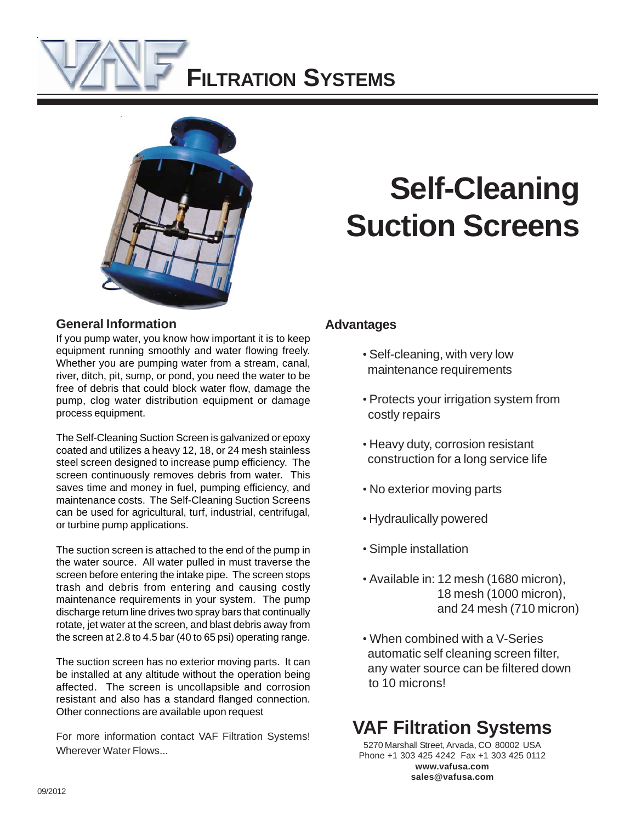



#### **General Information**

If you pump water, you know how important it is to keep equipment running smoothly and water flowing freely. Whether you are pumping water from a stream, canal, river, ditch, pit, sump, or pond, you need the water to be free of debris that could block water flow, damage the pump, clog water distribution equipment or damage process equipment.

The Self-Cleaning Suction Screen is galvanized or epoxy coated and utilizes a heavy 12, 18, or 24 mesh stainless steel screen designed to increase pump efficiency. The screen continuously removes debris from water. This saves time and money in fuel, pumping efficiency, and maintenance costs. The Self-Cleaning Suction Screens can be used for agricultural, turf, industrial, centrifugal, or turbine pump applications.

The suction screen is attached to the end of the pump in the water source. All water pulled in must traverse the screen before entering the intake pipe. The screen stops trash and debris from entering and causing costly maintenance requirements in your system. The pump discharge return line drives two spray bars that continually rotate, jet water at the screen, and blast debris away from the screen at 2.8 to 4.5 bar (40 to 65 psi) operating range.

The suction screen has no exterior moving parts. It can be installed at any altitude without the operation being affected. The screen is uncollapsible and corrosion resistant and also has a standard flanged connection. Other connections are available upon request

For more information contact VAF Filtration Systems! Wherever Water Flows...

# **Self-Cleaning Suction Screens**

### **Advantages**

- Self-cleaning, with very low maintenance requirements
- Protects your irrigation system from costly repairs
- Heavy duty, corrosion resistant construction for a long service life
- No exterior moving parts
- Hydraulically powered
- Simple installation
- Available in: 12 mesh (1680 micron), 18 mesh (1000 micron), and 24 mesh (710 micron)
- When combined with a V-Series automatic self cleaning screen filter, any water source can be filtered down to 10 microns!

## **VAF Filtration Systems**

5270 Marshall Street, Arvada, CO 80002 USA Phone +1 303 425 4242 Fax +1 303 425 0112 **www.vafusa.com sales@vafusa.com**